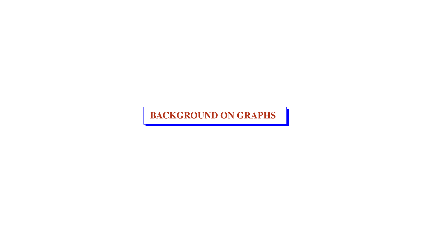BACKGROUND ON GRAPHS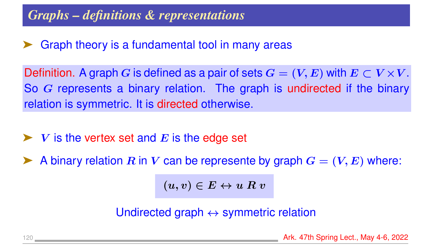#### *Graphs – definitions & representations*

#### Graph theory is a fundamental tool in many areas

Definition. A graph G is defined as a pair of sets  $G = (V, E)$  with  $E \subset V \times V$ . So G represents a binary relation. The graph is undirected if the binary relation is symmetric. It is directed otherwise.

- $\blacktriangleright$  V is the vertex set and E is the edge set
- A binary relation R in V can be represente by graph  $G = (V, E)$  where:

 $(u, v) \in E \leftrightarrow u R v$ 

Undirected graph  $\leftrightarrow$  symmetric relation

120 **Ark. 47th Spring Lect., May 4-6, 2022**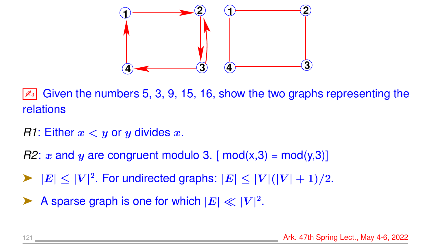

Given the numbers 5, 3, 9, 15, 16, show the two graphs representing the relations

- *R1*: Either  $x < y$  or y divides x.
- *R2*: x and y are congruent modulo 3. [ mod(x,3) = mod(y,3)]
- $\blacktriangleright$   $|E| \leq |V|^2$ . For undirected graphs:  $|E| \leq |V|(|V|+1)/2$ .
- A sparse graph is one for which  $|E| \ll |V|^2$ .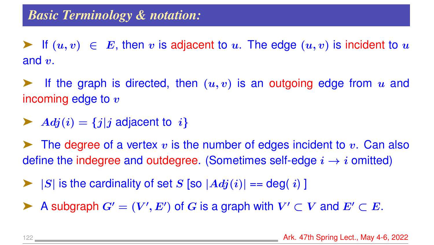Figure 1. If  $(u, v) \in E$ , then v is adjacent to u. The edge  $(u, v)$  is incident to u and  $v$ .

**EXECUTE:** If the graph is directed, then  $(u, v)$  is an outgoing edge from u and incoming edge to  $v$ 

 $\blacktriangleright$   $Adj(i) = \{j | j \text{ adjacent to } i\}$ 

 $\blacktriangleright$  The degree of a vertex v is the number of edges incident to v. Can also define the indegree and outdegree. (Sometimes self-edge  $i \rightarrow i$  omitted)

 $\triangleright$   $|S|$  is the cardinality of set S [so  $|Adj(i)| == deg(i)$  ]

A subgraph  $G' = (V', E')$  of G is a graph with  $V' \subset V$  and  $E' \subset E$ .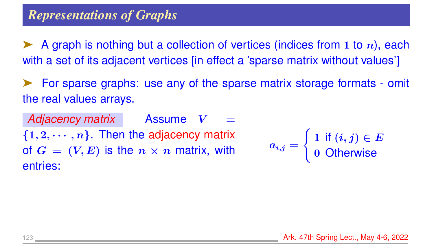A graph is nothing but a collection of vertices (indices from 1 to  $n$ ), each with a set of its adjacent vertices [in effect a 'sparse matrix without values']

➤ For sparse graphs: use any of the sparse matrix storage formats - omit the real values arrays.

Adjacency matrix Assume  $V =$  $\{1, 2, \cdots, n\}$ . Then the adjacency matrix of  $G = (V, E)$  is the  $n \times n$  matrix, with entries:

$$
a_{i,j} = \left\{ \begin{matrix} 1 \, \text{ if } (i,j) \in E \\ 0 \, \text{ Otherwise} \end{matrix} \right.
$$

123 Ark. 47th Spring Lect., May 4-6, 2022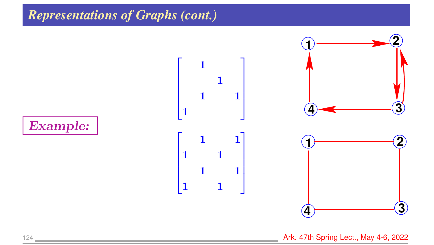#### *Representations of Graphs (cont.)*



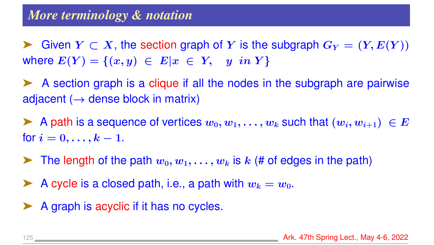► Given  $Y \subset X$ , the section graph of Y is the subgraph  $G_Y = (Y, E(Y))$ where  $E(Y) = \{(x, y) \in E | x \in Y, y \in Y\}$ 

➤ A section graph is a clique if all the nodes in the subgraph are pairwise adjacent ( $\rightarrow$  dense block in matrix)

A path is a sequence of vertices  $w_0, w_1, \ldots, w_k$  such that  $(w_i, w_{i+1}) \in E$ for  $i = 0, ..., k - 1$ .

 $\blacktriangleright$  The length of the path  $w_0, w_1, \ldots, w_k$  is k (# of edges in the path)

A cycle is a closed path, i.e., a path with  $w_k = w_0$ .

➤ A graph is acyclic if it has no cycles.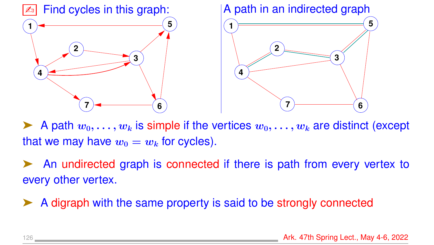

A path  $w_0, \ldots, w_k$  is simple if the vertices  $w_0, \ldots, w_k$  are distinct (except that we may have  $w_0 = w_k$  for cycles).

An undirected graph is connected if there is path from every vertex to every other vertex.

➤ A digraph with the same property is said to be strongly connected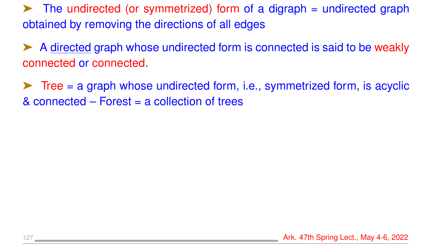$\blacktriangleright$  The undirected (or symmetrized) form of a digraph = undirected graph obtained by removing the directions of all edges

➤ A directed graph whose undirected form is connected is said to be weakly connected or connected.

 $\triangleright$  Tree = a graph whose undirected form, i.e., symmetrized form, is acyclic & connected – Forest = a collection of trees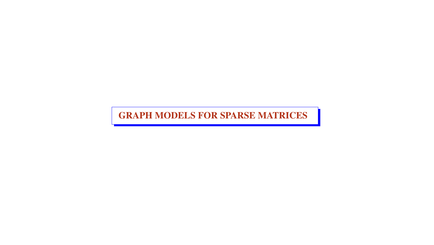GRAPH MODELS FOR SPARSE MATRICES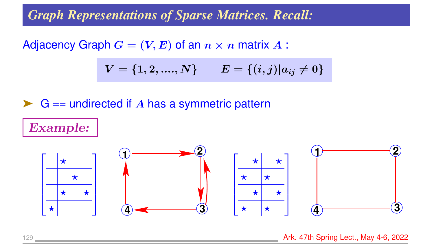#### *Graph Representations of Sparse Matrices. Recall:*

Adjacency Graph  $G = (V, E)$  of an  $n \times n$  matrix  $A$ :

$$
V = \{1,2,....,N\} \qquad E = \{(i,j) | a_{ij} \neq 0\}
$$

#### $\triangleright$  G == undirected if A has a symmetric pattern

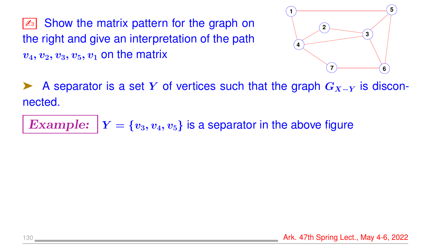$\mathbb{Z}$  Show the matrix pattern for the graph on the right and give an interpretation of the path  $v_4, v_2, v_3, v_5, v_1$  on the matrix



A separator is a set Y of vertices such that the graph  $G_{X-Y}$  is disconnected.

**Example:** 
$$
|Y = \{v_3, v_4, v_5\}
$$
 is a separator in the above figure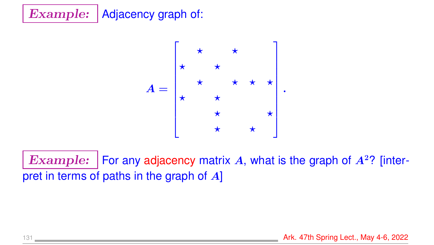



Example: | For any adjacency matrix A, what is the graph of  $A<sup>2</sup>$ ? [interpret in terms of paths in the graph of  $A$ ]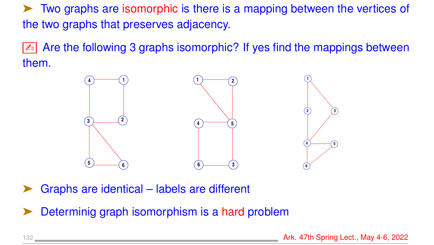➤ Two graphs are isomorphic is there is a mapping between the vertices of the two graphs that preserves adjacency.

**E** Are the following 3 graphs isomorphic? If yes find the mappings between them.



- Graphs are identical labels are different
- Determinig graph isomorphism is a hard problem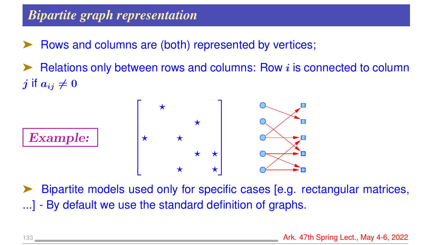## *Bipartite graph representation*

- Rows and columns are (both) represented by vertices;
- Relations only between rows and columns: Row *i* is connected to column j if  $a_{ij} \neq 0$



Bipartite models used only for specific cases [e.g. rectangular matrices,

...] - By default we use the standard definition of graphs.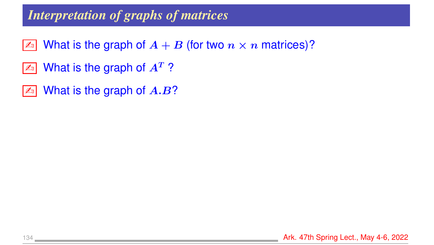#### *Interpretation of graphs of matrices*

- $\boxed{\mathbb{Z}^n}$  What is the graph of  $A + B$  (for two  $n \times n$  matrices)?
- $\boxed{\mathbb{Z}^n}$  What is the graph of  $A^T$ ?
- $\boxed{\mathbb{Z}^n}$  What is the graph of  $A.B$ ?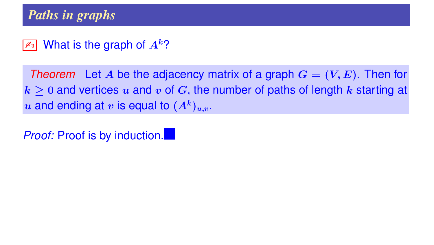#### $\boxed{\mathbb{Z}^n}$  What is the graph of  $A^k$ ?

*Theorem* Let A be the adjacency matrix of a graph  $G = (V, E)$ . Then for  $k \geq 0$  and vertices u and v of G, the number of paths of length k starting at  $u$  and ending at  $v$  is equal to  $(A^k)_{u,v}.$ 

*Proof:* Proof is by induction.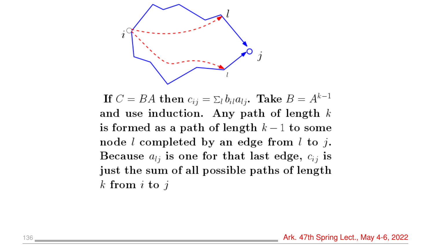

If  $C = BA$  then  $c_{ij} = \sum_l b_{il} a_{lj}$ . Take  $B = A^{k-1}$ and use induction. Any path of length  $k$ is formed as a path of length  $k-1$  to some node  $l$  completed by an edge from  $l$  to  $j$ . Because  $a_{lj}$  is one for that last edge,  $c_{ij}$  is just the sum of all possible paths of length k from  $i$  to  $j$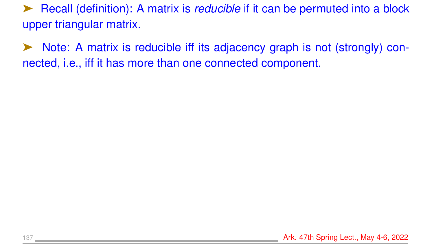➤ Recall (definition): A matrix is *reducible* if it can be permuted into a block upper triangular matrix.

➤ Note: A matrix is reducible iff its adjacency graph is not (strongly) connected, i.e., iff it has more than one connected component.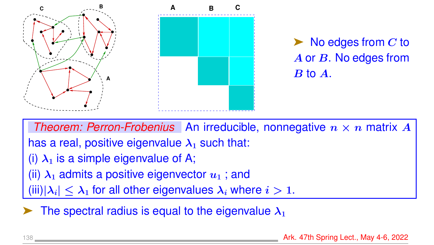

 $\blacktriangleright$  No edges from C to A or B. No edges from B to A.

*Theorem: Perron-Frobenius* An irreducible, nonnegative  $n \times n$  matrix A has a real, positive eigenvalue  $\lambda_1$  such that: (i)  $\lambda_1$  is a simple eigenvalue of A; (ii)  $\lambda_1$  admits a positive eigenvector  $u_1$ ; and (iii) $|\lambda_i| < \lambda_1$  for all other eigenvalues  $\lambda_i$  where  $i > 1$ .

The spectral radius is equal to the eigenvalue  $\lambda_1$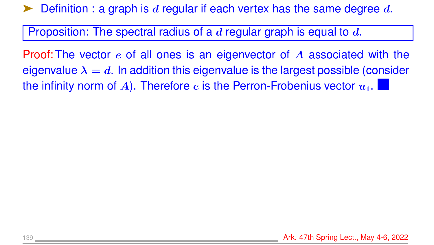Definition : a graph is d regular if each vertex has the same degree  $d$ .

Proposition: The spectral radius of a  $d$  regular graph is equal to  $d$ .

Proof: The vector e of all ones is an eigenvector of A associated with the eigenvalue  $\lambda = d$ . In addition this eigenvalue is the largest possible (consider the infinity norm of A). Therefore e is the Perron-Frobenius vector  $u_1$ .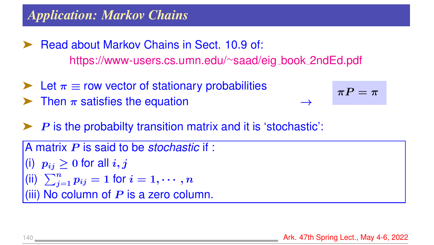#### *Application: Markov Chains*

- ➤ Read about Markov Chains in Sect. 10.9 of: [https://www-users.cs.umn.edu/](https://www-users.cs.umn.edu/~saad/eig_book_2ndEd.pdf)∼saad/eig book 2ndEd.pdf
- $\blacktriangleright$  Let  $\pi \equiv$  row vector of stationary probabilities
- Then  $\pi$  satisfies the equation

 $\pi P = \pi$ 

 $\boldsymbol{P}$  is the probabilty transition matrix and it is 'stochastic':

```
A matrix P is said to be stochastic if :
(i) p_{ij} \geq 0 for all i, j(ii) \sum_{j=1}^n p_{ij} = 1 for i = 1, \cdots, n(iii) No column of P is a zero column.
```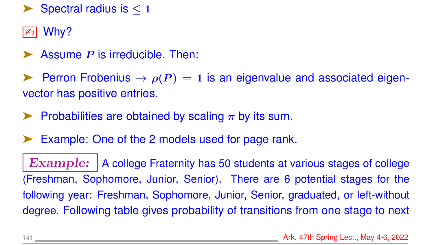Spectral radius is  $< 1$ 

 $\mathbb{Z}$  Why?

Assume  *is irreducible. Then:* 

**EX** Perron Frobenius  $\rightarrow \rho(P) = 1$  is an eigenvalue and associated eigenvector has positive entries.

- $\blacktriangleright$  Probabilities are obtained by scaling  $\pi$  by its sum.
- Example: One of the 2 models used for page rank.

Example: | A college Fraternity has 50 students at various stages of college (Freshman, Sophomore, Junior, Senior). There are 6 potential stages for the following year: Freshman, Sophomore, Junior, Senior, graduated, or left-without degree. Following table gives probability of transitions from one stage to next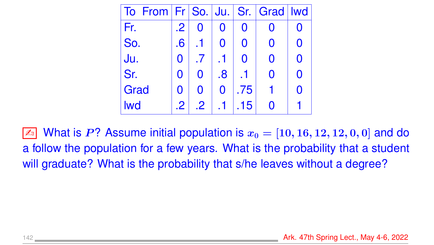| To From   Fr   So.   Ju.   Sr.   Grad   Iwd |                         |             |    |                |   |                |
|---------------------------------------------|-------------------------|-------------|----|----------------|---|----------------|
| Fr.                                         | $\cdot$ 2               |             |    | $\mathbf 0$    |   |                |
| So.                                         | $\overline{\mathbf{6}}$ |             |    | $\overline{0}$ | 0 |                |
| Ju.                                         |                         | $\cdot$     |    | $\Omega$       | 0 |                |
| Sr.                                         | 0                       | $\Omega$    | .8 |                | Ŋ | $\blacksquare$ |
| Grad                                        | 0                       | $\mathbf 0$ | 0  | .75            |   | $\Omega$       |
| <b>Iwd</b>                                  | $\cdot$ 2               | $\cdot$ 2   |    | 15             |   |                |

 $\boxed{\mathbb{Z}^3}$  What is P? Assume initial population is  $x_0 = [10, 16, 12, 12, 0, 0]$  and do a follow the population for a few years. What is the probability that a student will graduate? What is the probability that s/he leaves without a degree?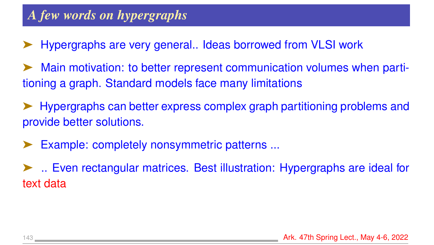- ➤ Hypergraphs are very general.. Ideas borrowed from VLSI work
- Main motivation: to better represent communication volumes when partitioning a graph. Standard models face many limitations
- ➤ Hypergraphs can better express complex graph partitioning problems and provide better solutions.
- Example: completely nonsymmetric patterns ...
- ➤ .. Even rectangular matrices. Best illustration: Hypergraphs are ideal for text data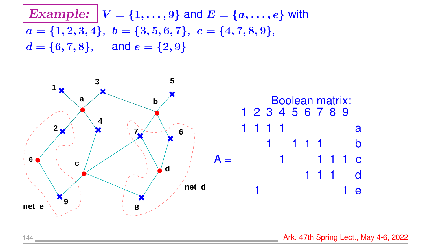**Example:** 
$$
V = \{1, ..., 9\}
$$
 and  $E = \{a, ..., e\}$  with  $a = \{1, 2, 3, 4\}, b = \{3, 5, 6, 7\}, c = \{4, 7, 8, 9\}, d = \{6, 7, 8\}, and e = \{2, 9\}$ 



144 **Ark. 47th Spring Lect., May 4-6, 2022**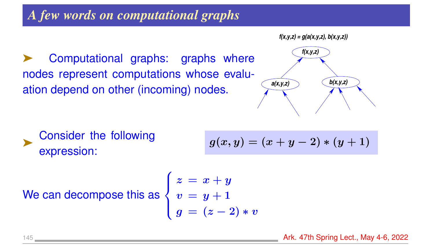#### *A few words on computational graphs*

**f(x,y,z) = g(a(x,y,z), b(x,y,z))**

Computational graphs: graphs where nodes represent computations whose evaluation depend on other (incoming) nodes.



➤ Consider the following expression:

$$
g(x,y)=(x+y-2)\ast (y+1)
$$

We can decompose this as

$$
\left\{ \begin{aligned} z &= x + y \\ v &= y + 1 \\ g &= (z - 2) * v \end{aligned} \right.
$$

 $\sqrt{ }$ 

145 **Ark. 47th Spring Lect., May 4-6, 2022**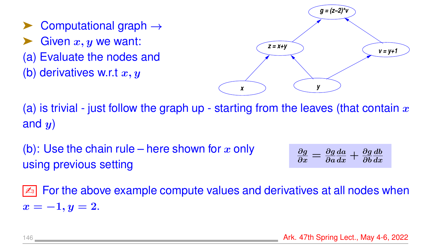Computational graph  $\rightarrow$ Given  $x, y$  we want: (a) Evaluate the nodes and (b) derivatives w.r.t  $x, y$ 



(a) is trivial - just follow the graph up - starting from the leaves (that contain  $x$ and  $y$ )

(b): Use the chain rule – here shown for x only using previous setting

$$
\frac{\partial g}{\partial x} = \frac{\partial g}{\partial a}\frac{da}{dx} + \frac{\partial g}{\partial b}\frac{db}{dx}
$$

 $\boxed{\mathbb{Z}^n}$  For the above example compute values and derivatives at all nodes when  $x = -1, y = 2.$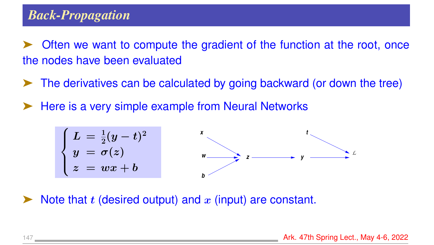#### *Back-Propagation*

Often we want to compute the gradient of the function at the root, once the nodes have been evaluated

- ➤ The derivatives can be calculated by going backward (or down the tree)
- ➤ Here is a very simple example from Neural Networks



Note that  $t$  (desired output) and  $x$  (input) are constant.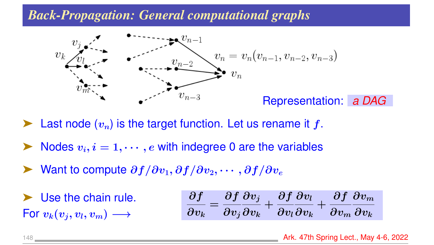#### *Back-Propagation: General computational graphs*



Last node  $(v_n)$  is the target function. Let us rename it f.

- Nodes  $v_i, i = 1, \dots, e$  with indegree 0 are the variables
- Want to compute  $\partial f/\partial v_1, \partial f/\partial v_2, \cdots, \partial f/\partial v_e$
- Use the chain rule. For  $v_k(v_i, v_l, v_m) \longrightarrow$

$$
\frac{\partial f}{\partial v_k} = \frac{\partial f}{\partial v_j}\frac{\partial v_j}{\partial v_k} + \frac{\partial f}{\partial v_l}\frac{\partial v_l}{\partial v_k} + \frac{\partial f}{\partial v_m}\frac{\partial v_m}{\partial v_k}
$$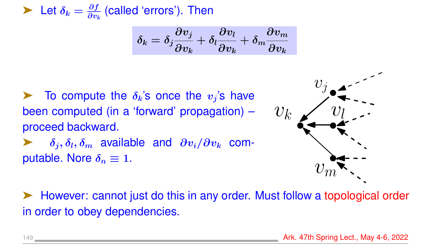$\blacktriangleright$  Let  $\delta_k = \frac{\partial f}{\partial w_k}$  $\frac{\partial f}{\partial v_k}$  (called 'errors'). Then

$$
\delta_k=\delta_j\frac{\partial v_j}{\partial v_k}+\delta_l\frac{\partial v_l}{\partial v_k}+\delta_m\frac{\partial v_m}{\partial v_k}
$$

To compute the  $\delta_k$ 's once the  $v_j$ 's have been computed (in a 'forward' propagation) – proceed backward.

 $\delta_i, \delta_l, \delta_m$  available and  $\partial v_i/\partial v_k$  computable. Nore  $\delta_n \equiv 1$ .



➤ However: cannot just do this in any order. Must follow a topological order in order to obey dependencies.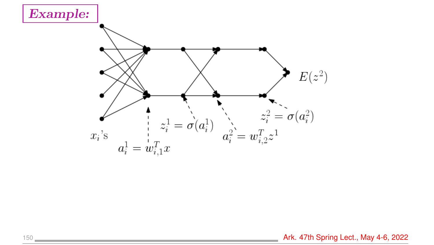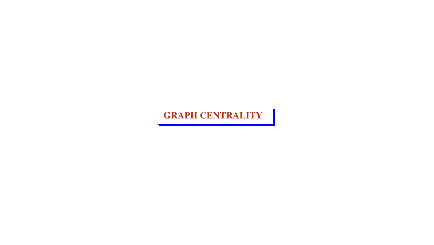#### GRAPH CENTRALITY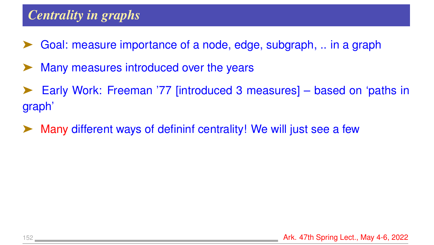## *Centrality in graphs*

- Goal: measure importance of a node, edge, subgraph, .. in a graph
- Many measures introduced over the years
- ➤ Early Work: Freeman '77 [introduced 3 measures] based on 'paths in graph'
- ➤ Many different ways of defininf centrality! We will just see a few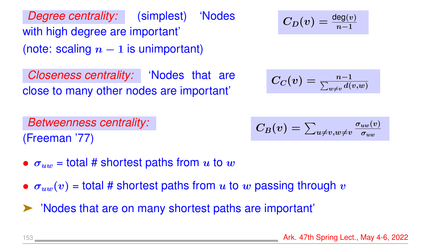*Degree centrality:* (simplest) 'Nodes with high degree are important' (note: scaling  $n-1$  is unimportant)

*Closeness centrality:* 'Nodes that are close to many other nodes are important'

$$
C_D(v)=\tfrac{\deg(v)}{n-1}
$$

$$
C_C(v)=\tfrac{n-1}{\sum_{w\neq v}d(v,w)}
$$

*Betweenness centrality:* (Freeman '77)

$$
C_B(v)=\textstyle\sum_{u\neq v,w\neq v}\frac{\sigma_{uw}(v)}{\sigma_{uw}}
$$

- $\sigma_{uw}$  = total # shortest paths from u to w
- $\sigma_{uw}(v)$  = total # shortest paths from u to w passing through v
- ➤ 'Nodes that are on many shortest paths are important'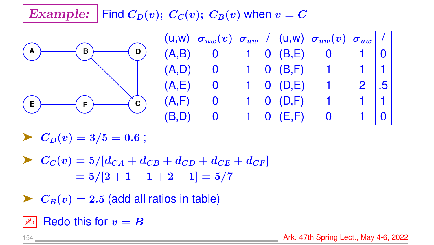## Example: Find  $C_D(v)$ ;  $C_C(v)$ ;  $C_B(v)$  when  $v = C$



|        | $\begin{array}{ c c c c c }\hline ( \textsf{u}, \textsf{w}) & \sigma_{uw}(v) & \sigma_{uw} \end{array} \begin{array}{ c c c c }\hline \end{array} \begin{array}{ c c c c }\hline \end{array} \begin{array}{ c c c c }\hline \end{array} \begin{array}{ c c c c }\hline \end{array} \begin{array}{ c c c }\hline \end{array} \begin{array}{ c c c }\hline \end{array} \begin{array}{ c c c }\hline \end{array} \begin{array}{ c c c }\hline \end{array} \$ |  |                        |                |                |                             |
|--------|-----------------------------------------------------------------------------------------------------------------------------------------------------------------------------------------------------------------------------------------------------------------------------------------------------------------------------------------------------------------------------------------------------------------------------------------------------------|--|------------------------|----------------|----------------|-----------------------------|
| (A,B)  |                                                                                                                                                                                                                                                                                                                                                                                                                                                           |  |                        | 1  0  (B, E) 0 |                |                             |
| (A,D)  |                                                                                                                                                                                                                                                                                                                                                                                                                                                           |  | 1   0   (B, F)         | $1 -$          |                |                             |
| (A,E)  |                                                                                                                                                                                                                                                                                                                                                                                                                                                           |  | 1   0   (D,E)          |                | $\overline{2}$ | $\overline{\phantom{0}}$ .5 |
| (A, F) |                                                                                                                                                                                                                                                                                                                                                                                                                                                           |  | 1   0   (D, F)         |                |                |                             |
| (B,D)  | $\bf{O}$                                                                                                                                                                                                                                                                                                                                                                                                                                                  |  | $1 \mid 0 \mid (E, F)$ | $\mathbf 0$    |                |                             |

 $\blacktriangleright$   $C_D(v) = 3/5 = 0.6$ ;

 $\sum_{C}(v) = 5/[d_{CA} + d_{CB} + d_{CD} + d_{CE} + d_{CF}]$  $= 5/[2 + 1 + 1 + 2 + 1] = 5/7$ 

 $\blacktriangleright$   $C_B(v) = 2.5$  (add all ratios in table)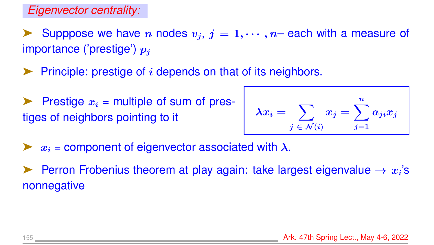*Eigenvector centrality:*

Supppose we have n nodes  $v_j$ ,  $j = 1, \dots, n$  each with a measure of importance ('prestige')  $p_i$ 

- Principle: prestige of  $i$  depends on that of its neighbors.
- Prestige  $x_i$  = multiple of sum of prestiges of neighbors pointing to it

$$
\lambda x_i = \sum_{j \; \in \; \mathcal{N}(i)} x_j = \sum_{j=1}^n a_{ji} x_j
$$

- $\triangleright$   $x_i$  = component of eigenvector associated with  $\lambda$ .
- Ferron Frobenius theorem at play again: take largest eigenvalue  $\rightarrow x_i$ 's nonnegative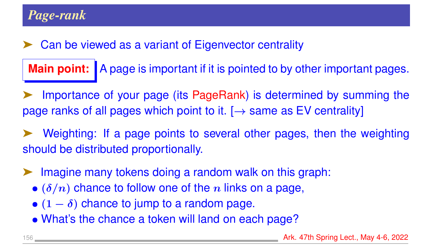#### Can be viewed as a variant of Eigenvector centrality

**Main point:** | A page is important if it is pointed to by other important pages.

Importance of your page (its PageRank) is determined by summing the page ranks of all pages which point to it.  $[\rightarrow$  same as EV centrality]

Weighting: If a page points to several other pages, then the weighting should be distributed proportionally.

- Imagine many tokens doing a random walk on this graph:
	- $\bullet$  ( $\delta/n$ ) chance to follow one of the n links on a page,
	- $(1 \delta)$  chance to jump to a random page.
	- What's the chance a token will land on each page?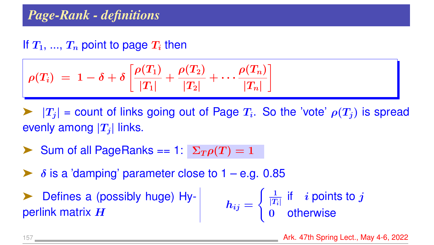#### *Page-Rank - definitions*

#### If  $T_1$ , ...,  $T_n$  point to page  $T_i$  then

$$
\rho(T_i) \;=\; 1 - \delta + \delta \left[ \frac{\rho(T_1)}{|T_1|} + \frac{\rho(T_2)}{|T_2|} + \cdots \frac{\rho(T_n)}{|T_n|} \right]
$$

 $\blacktriangleright$   $|T_j|$  = count of links going out of Page  $T_i$ . So the 'vote'  $\rho(T_j)$  is spread evenly among  $|T_i|$  links.

- Sum of all PageRanks == 1:  $\Sigma_T \rho(T) = 1$
- $\delta$  is a 'damping' parameter close to  $1 e.g.$  0.85
- ➤ Defines a (possibly huge) Hyperlink matrix  $H$  $\bm{h_{ij}} =$  $\left( \frac{1}{1} \right)$  $\frac{1}{|T_i|}$  if  $-i$  points to  $j$ 0 otherwise

157 Ark. 47th Spring Lect., May 4-6, 2022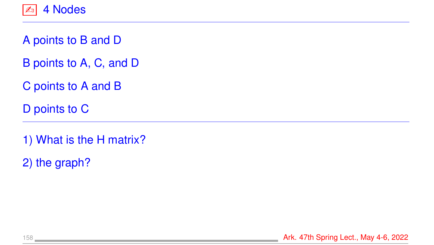

- A points to B and D
- B points to A, C, and D
- C points to A and B
- D points to C
- 1) What is the H matrix?
- 2) the graph?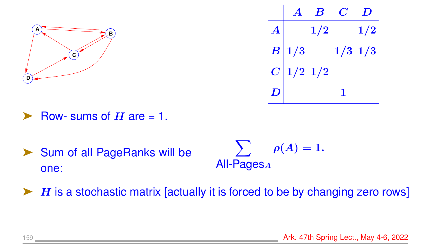



- Row- sums of  $H$  are = 1.
- ▶ Sum of all PageRanks will be one:

 $\sum$ All-Pages<sup>A</sup>  $\rho(A)=1.$ 

 $\blacktriangleright$  H is a stochastic matrix [actually it is forced to be by changing zero rows]

159 **Ark. 47th Spring Lect., May 4-6, 2022**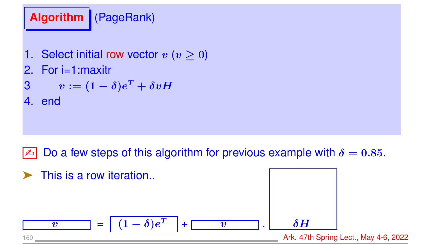# **Algorithm** (PageRank)

- 1. Select initial row vector  $v$  ( $v > 0$ )
- 2. For i=1:maxitr
- $\boldsymbol{v} := (1-\delta)e^T + \delta v H$
- 4. end

## Do a few steps of this algorithm for previous example with  $\delta = 0.85$ .

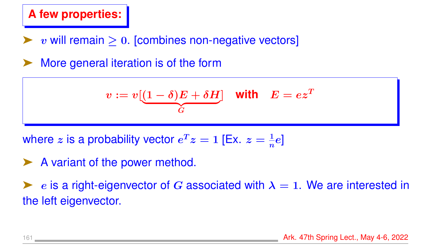#### **A few properties:**

- $v$  will remain  $\geq 0$ . [combines non-negative vectors]
- More general iteration is of the form

$$
v := v \underbrace{[(1 - \delta)E + \delta H]}_{G} \quad \text{with} \quad E = e z^T
$$

where z is a probability vector  $e^Tz = 1$  [Ex.  $z = \frac{1}{n}$  $\frac{1}{n}e]$ 

A variant of the power method.

e is a right-eigenvector of G associated with  $\lambda = 1$ . We are interested in the left eigenvector.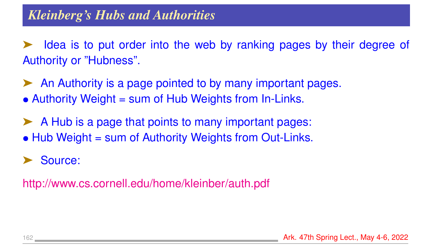➤ Idea is to put order into the web by ranking pages by their degree of Authority or "Hubness".

- ➤ An Authority is a page pointed to by many important pages.
- Authority Weight = sum of Hub Weights from In-Links.
- ➤ A Hub is a page that points to many important pages:
- Hub Weight = sum of Authority Weights from Out-Links.

#### Source:

<http://www.cs.cornell.edu/home/kleinber/auth.pdf>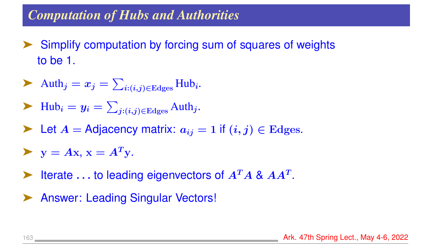#### *Computation of Hubs and Authorities*

- Simplify computation by forcing sum of squares of weights to be 1.
- Auth<sub>j</sub> =  $x_j = \sum_{i:(i,j)\in\text{Edges}}$ Hub<sub>i</sub>.
- $\blacktriangleright$  Hub<sub>i</sub> =  $y_i = \sum_{j:(i,j)\in \text{Edges}}$  Auth<sub>j</sub>.
- $\blacktriangleright$  Let  $A =$  Adjacency matrix:  $a_{ij} = 1$  if  $(i, j) \in$  Edges.
- $\blacktriangleright$  y = Ax, x =  $A^T y$ .
- iterate ... to leading eigenvectors of  $A<sup>T</sup>A$  &  $AA<sup>T</sup>$ .
- Answer: Leading Singular Vectors!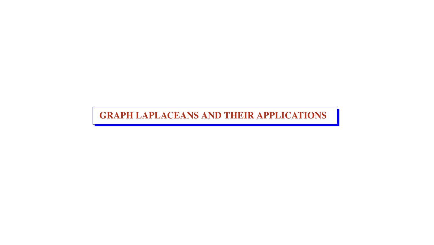GRAPH LAPLACEANS AND THEIR APPLICATIONS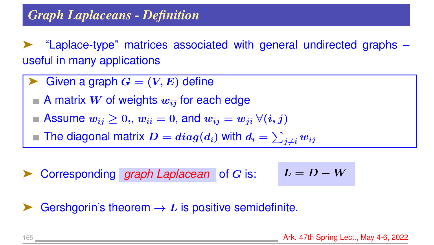➤ "Laplace-type" matrices associated with general undirected graphs – useful in many applications

- Given a graph  $G = (V, E)$  define
	- A matrix W of weights  $w_{ij}$  for each edge
- Assume  $w_{ij} \geq 0$ ,,  $w_{ii} = 0$ , and  $w_{ij} = w_{ji} \ \forall (i, j)$
- The diagonal matrix  $\boldsymbol{D} = diag(d_i)$  with  $d_i = \sum_{j \neq i} w_{ij}$
- Corresponding *graph Laplacean* of *G* is:

$$
L = D - W
$$

Gershgorin's theorem  $\rightarrow L$  is positive semidefinite.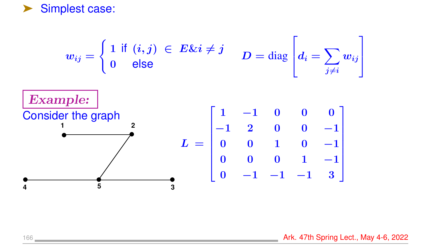

$$
w_{ij} = \begin{cases} 1 \text{ if } (i,j) \in E \& \text{if } j \neq j \\ 0 \text{ else} \end{cases} \qquad D = \text{diag} \begin{bmatrix} d_i = \sum_{j \neq i} w_{ij} \\ \text{Example: } \\ \text{Consider the graph} \\ 1 \qquad 2 \qquad 0 \qquad 0 \qquad -1 \\ 0 \qquad 0 \qquad 1 \qquad 0 \qquad -1 \\ 0 \qquad 0 \qquad 1 \qquad -1 \\ 0 \qquad -1 \qquad -1 \qquad 3 \end{bmatrix}
$$

166 **Ark. 47th Spring Lect., May 4-6, 2022** 

1

 $\mathbf{I}$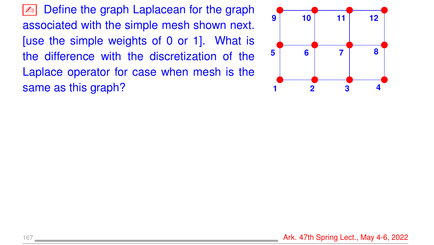Define the graph Laplacean for the graph associated with the simple mesh shown next. [use the simple weights of 0 or 1]. What is the difference with the discretization of the Laplace operator for case when mesh is the same as this graph?

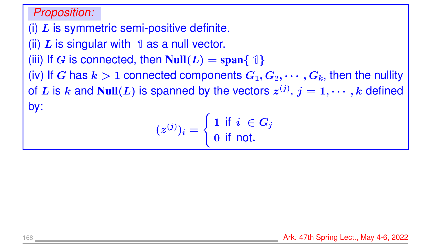#### *Proposition:*

(i)  $L$  is symmetric semi-positive definite. (ii)  $L$  is singular with  $\mathbb 1$  as a null vector. (iii) If G is connected, then  $Null(L) = span{ 1 }$ (iv) If G has  $k > 1$  connected components  $G_1, G_2, \cdots, G_k$ , then the nullity of  $L$  is  $k$  and  $\text{Null}(L)$  is spanned by the vectors  $z^{(j)},\,j=1,\cdots,k$  defined by:

 $(z^{(j)})_i =$  $\int 1$  if  $i \in G_j$ 0 if not.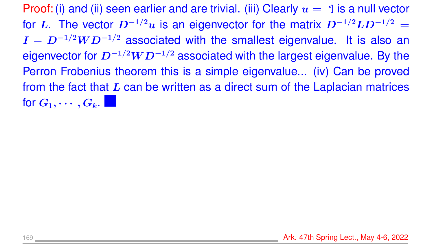Proof: (i) and (ii) seen earlier and are trivial. (iii) Clearly  $u = 1$  is a null vector for L. The vector  $D^{-1/2}u$  is an eigenvector for the matrix  $D^{-1/2}LD^{-1/2} =$  $I - D^{-1/2}WD^{-1/2}$  associated with the smallest eigenvalue. It is also an eigenvector for  $D^{-1/2}WD^{-1/2}$  associated with the largest eigenvalue. By the Perron Frobenius theorem this is a simple eigenvalue... (iv) Can be proved from the fact that  $L$  can be written as a direct sum of the Laplacian matrices for  $G_1, \cdots, G_k$ .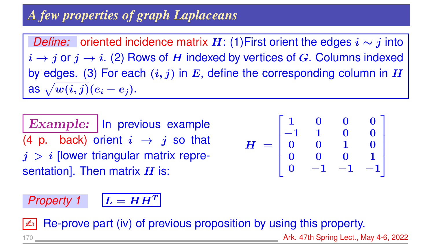## *A few properties of graph Laplaceans*

*Define:* oriented incidence matrix  $H$ : (1)First orient the edges  $i \sim j$  into  $i \rightarrow j$  or  $j \rightarrow i$ . (2) Rows of H indexed by vertices of G. Columns indexed by edges. (3) For each  $(i, j)$  in E, define the corresponding column in H as  $\sqrt{w(i,j)}(e_i-e_j).$ 

Example: | In previous example (4 p. back) orient  $i \rightarrow j$  so that  $j > i$  [lower triangular matrix representation]. Then matrix  $H$  is:

$$
H = \begin{bmatrix} 1 & 0 & 0 & 0 \\ -1 & 1 & 0 & 0 \\ 0 & 0 & 1 & 0 \\ 0 & 0 & 0 & 1 \\ 0 & -1 & -1 & -1 \end{bmatrix}
$$

# *Property 1*  $L = HH^T$

Re-prove part (iv) of previous proposition by using this property.

Ark. 47th Spring Lect., May 4-6, 2022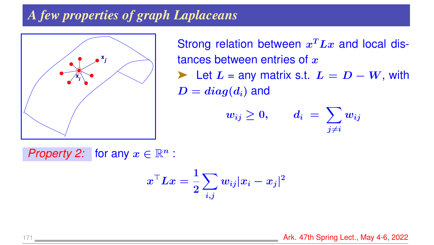#### *A few properties of graph Laplaceans*



Strong relation between  $x^T L x$  and local distances between entries of  $x$ ► Let  $L =$  any matrix s.t.  $L = D - W$ , with  $D = diag(d_i)$  and

$$
w_{ij} \geq 0, \qquad d_i \ = \ \sum_{j \neq i} w_{ij}
$$

*Property 2:* for any  $x \in \mathbb{R}^n$  :

$$
x^\top L x = \frac{1}{2} \sum_{i,j} w_{ij} |x_i - x_j|^2
$$

171 Ark. 47th Spring Lect., May 4-6, 2022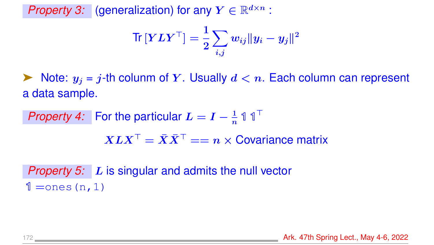*Property 3:* (generalization) for any  $Y \in \mathbb{R}^{d \times n}$ :

$$
\text{Tr}\left[\boldsymbol{Y}\boldsymbol{L}\boldsymbol{Y}^\top\right] = \frac{1}{2}\sum_{i,j}w_{ij}\|\boldsymbol{y}_i-\boldsymbol{y}_j\|^2
$$

 $\blacktriangleright$  Note:  $y_i = j$ -th colunm of Y. Usually  $d < n$ . Each column can represent a data sample.

*Property 4:* For the particular  $L = I - \frac{1}{n} \mathbb{1} \mathbb{1}^{\top}$  $X L X^\top = \bar{X} \bar{X}^\top == n \times \text{Covariance matrix}$ 

*Property 5:* L is singular and admits the null vector  $1 =$ ones(n, 1)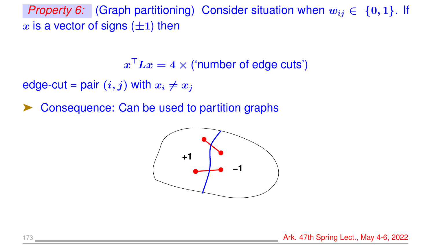*Property 6:* (Graph partitioning) Consider situation when  $w_{ij} \in \{0, 1\}$ . If x is a vector of signs  $(\pm 1)$  then

 $\boldsymbol{x}^\top \boldsymbol{L} \boldsymbol{x} = 4 \times ($ 'number of edge cuts')

edge-cut = pair  $(i, j)$  with  $x_i \neq x_j$ 

Consequence: Can be used to partition graphs

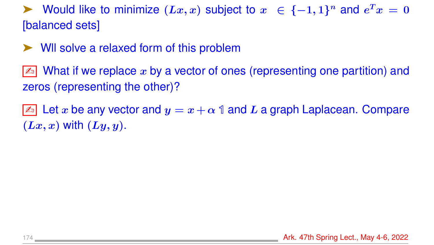► Would like to minimize  $(Lx, x)$  subject to  $x \in \{-1, 1\}^n$  and  $e^T x = 0$ [balanced sets]

➤ Wll solve a relaxed form of this problem

 $\lfloor\mathbb{Z}_0\rfloor$  What if we replace  $x$  by a vector of ones (representing one partition) and zeros (representing the other)?

 $\boxed{\mathbb{Z}^n}$  Let x be any vector and  $y = x + \alpha$  1 and L a graph Laplacean. Compare  $(Lx, x)$  with  $(Ly, y)$ .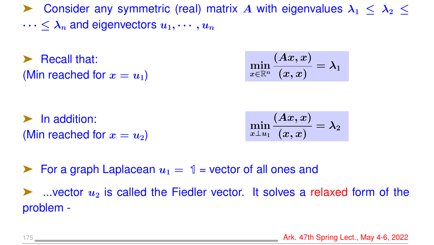► Consider any symmetric (real) matrix A with eigenvalues  $\lambda_1 < \lambda_2 <$  $\cdots < \lambda_n$  and eigenvectors  $u_1, \cdots, u_n$ 

➤ Recall that: (Min reached for  $x = u_1$ )

$$
\min_{x\in\mathbb{R}^n}\frac{(Ax,x)}{(x,x)}=\lambda_1
$$

➤ In addition: (Min reached for  $x = u_2$ )

$$
\min_{x\perp u_1}\frac{(Ax,x)}{(x,x)}=\lambda_2
$$

**Example 1** For a graph Laplacean  $u_1 = 1$  = vector of all ones and

 $\blacktriangleright$  ...vector  $u_2$  is called the Fiedler vector. It solves a relaxed form of the problem -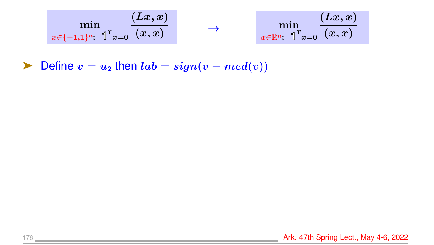$$
\min_{x \in \{-1,1\}^n; \hspace{0.1cm} \mathbb{1}^T x = 0} \frac{(Lx,x)}{(x,x)} \qquad \longrightarrow \qquad \min_{x \in \mathbb{R}^n; \hspace{0.1cm} \mathbb{1}^T x = 0} \frac{(Lx,x)}{(x,x)}
$$

► Define  $v = u_2$  then  $lab = sign(v - med(v))$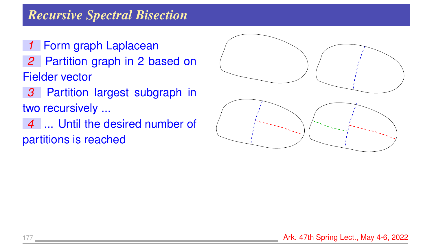#### *Recursive Spectral Bisection*

- *1* Form graph Laplacean
- *2* Partition graph in 2 based on Fielder vector
- *3* Partition largest subgraph in two recursively ...
- *4* ... Until the desired number of partitions is reached

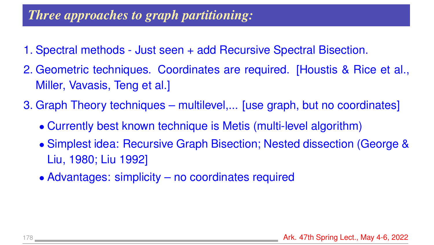## *Three approaches to graph partitioning:*

- 1. Spectral methods Just seen + add Recursive Spectral Bisection.
- 2. Geometric techniques. Coordinates are required. [Houstis & Rice et al., Miller, Vavasis, Teng et al.]
- 3. Graph Theory techniques multilevel,... [use graph, but no coordinates]
	- Currently best known technique is Metis (multi-level algorithm)
	- Simplest idea: Recursive Graph Bisection; Nested dissection (George & Liu, 1980; Liu 1992]
	- Advantages: simplicity no coordinates required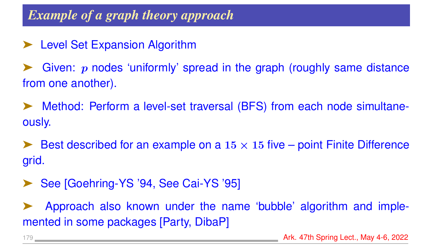## *Example of a graph theory approach*

► Level Set Expansion Algorithm

Given:  $p$  nodes 'uniformly' spread in the graph (roughly same distance from one another).

➤ Method: Perform a level-set traversal (BFS) from each node simultaneously.

Eest described for an example on a  $15 \times 15$  five – point Finite Difference grid.

See [Goehring-YS '94, See Cai-YS '95]

➤ Approach also known under the name 'bubble' algorithm and implemented in some packages [Party, DibaP]